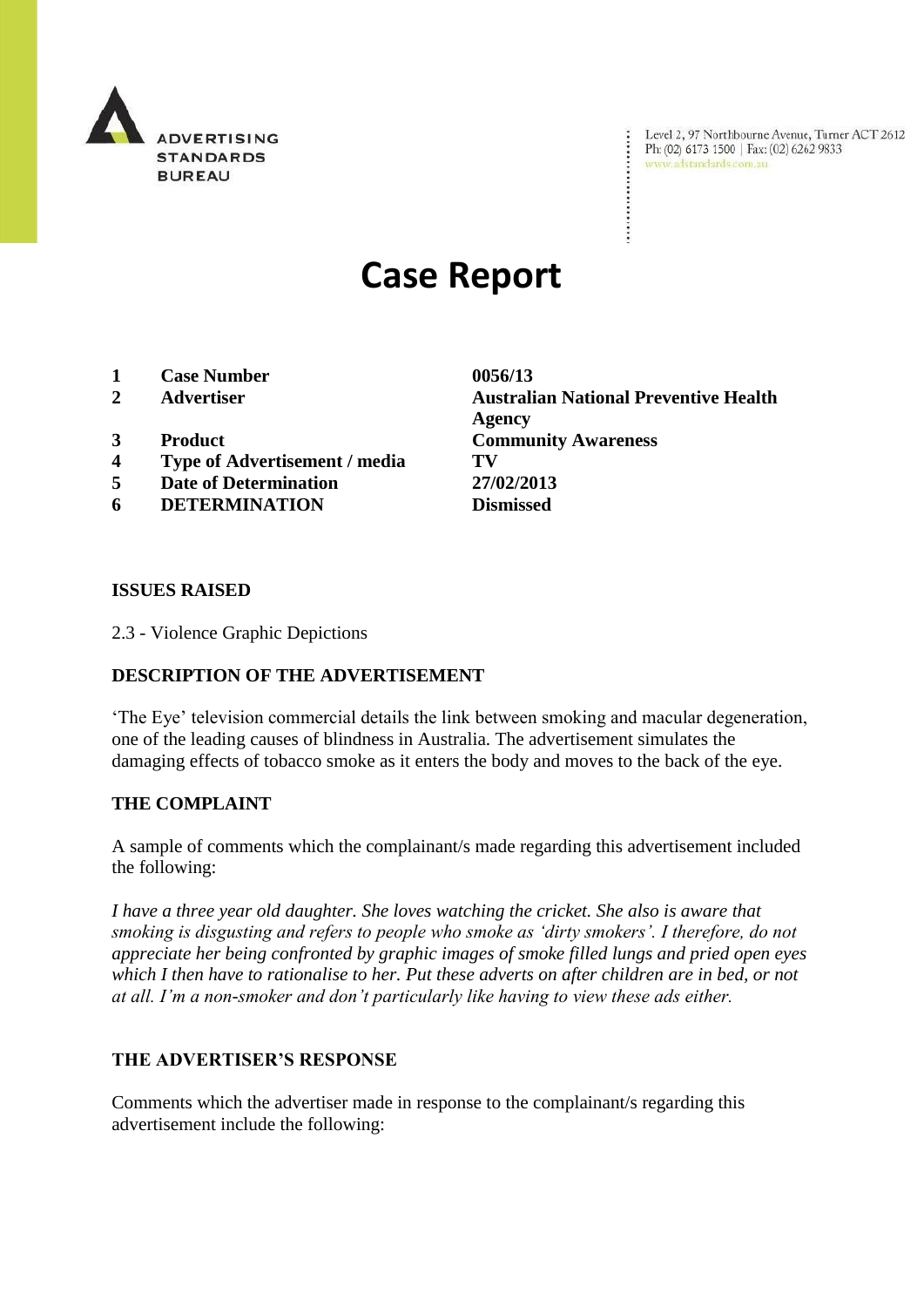

Level 2, 97 Northbourne Avenue, Turner ACT 2612 Ph: (02) 6173 1500 | Fax: (02) 6262 9833 www.adstandards.com.au

# **Case Report**

- **1 Case Number 0056/13**
- 
- 
- **4 Type of Advertisement / media TV**
- **5 Date of Determination 27/02/2013**
- **6 DETERMINATION Dismissed**

**2 Advertiser Australian National Preventive Health Agency 3 Product Community Awareness**

### **ISSUES RAISED**

2.3 - Violence Graphic Depictions

# **DESCRIPTION OF THE ADVERTISEMENT**

"The Eye" television commercial details the link between smoking and macular degeneration, one of the leading causes of blindness in Australia. The advertisement simulates the damaging effects of tobacco smoke as it enters the body and moves to the back of the eye.

### **THE COMPLAINT**

A sample of comments which the complainant/s made regarding this advertisement included the following:

*I have a three year old daughter. She loves watching the cricket. She also is aware that smoking is disgusting and refers to people who smoke as 'dirty smokers'. I therefore, do not appreciate her being confronted by graphic images of smoke filled lungs and pried open eyes which I then have to rationalise to her. Put these adverts on after children are in bed, or not at all. I'm a non-smoker and don't particularly like having to view these ads either.*

#### **THE ADVERTISER'S RESPONSE**

Comments which the advertiser made in response to the complainant/s regarding this advertisement include the following: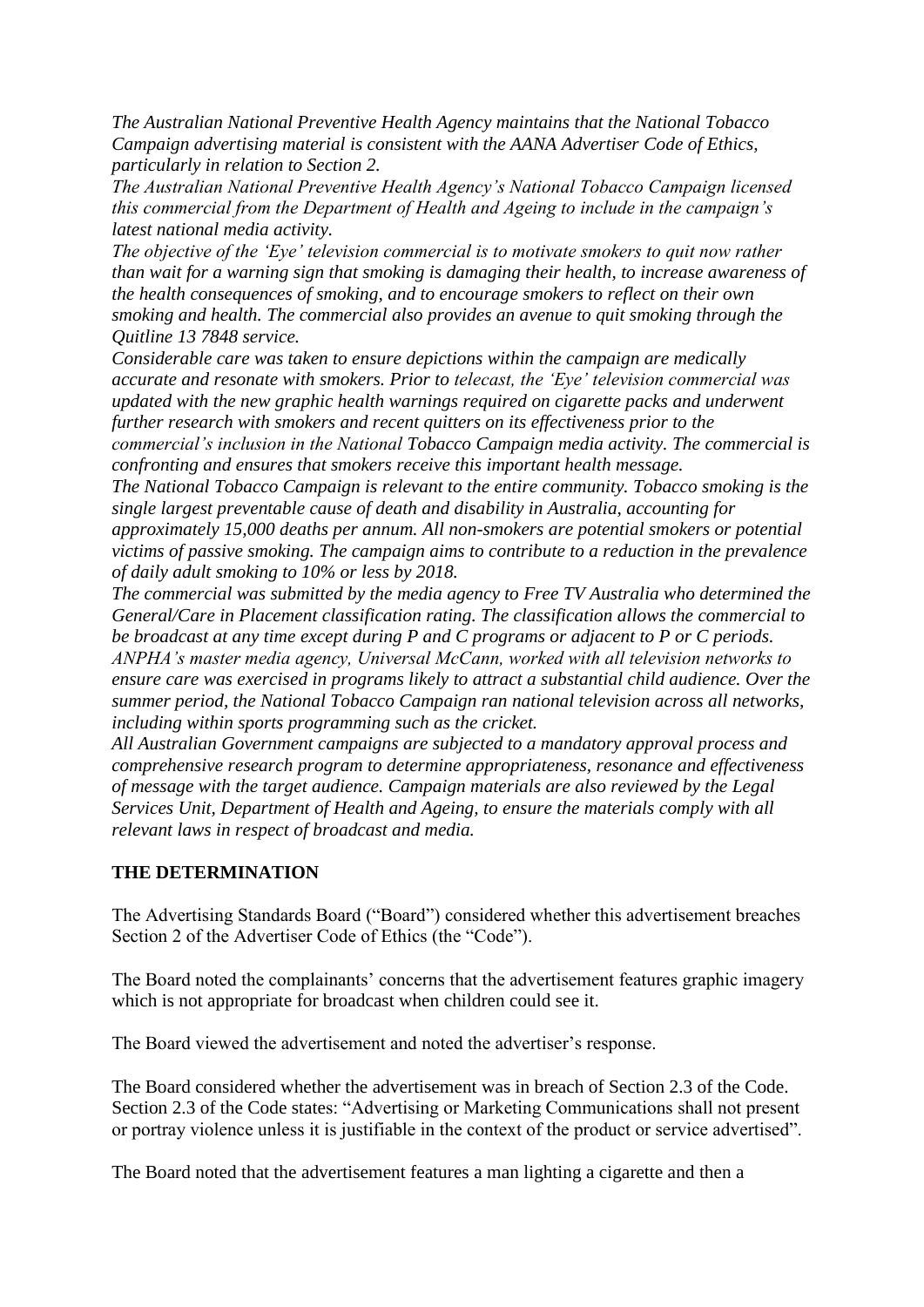*The Australian National Preventive Health Agency maintains that the National Tobacco Campaign advertising material is consistent with the AANA Advertiser Code of Ethics, particularly in relation to Section 2.*

*The Australian National Preventive Health Agency's National Tobacco Campaign licensed this commercial from the Department of Health and Ageing to include in the campaign's latest national media activity.*

*The objective of the 'Eye' television commercial is to motivate smokers to quit now rather than wait for a warning sign that smoking is damaging their health, to increase awareness of the health consequences of smoking, and to encourage smokers to reflect on their own smoking and health. The commercial also provides an avenue to quit smoking through the Quitline 13 7848 service.*

*Considerable care was taken to ensure depictions within the campaign are medically accurate and resonate with smokers. Prior to telecast, the 'Eye' television commercial was updated with the new graphic health warnings required on cigarette packs and underwent further research with smokers and recent quitters on its effectiveness prior to the* 

*commercial's inclusion in the National Tobacco Campaign media activity. The commercial is confronting and ensures that smokers receive this important health message.*

*The National Tobacco Campaign is relevant to the entire community. Tobacco smoking is the single largest preventable cause of death and disability in Australia, accounting for approximately 15,000 deaths per annum. All non-smokers are potential smokers or potential victims of passive smoking. The campaign aims to contribute to a reduction in the prevalence of daily adult smoking to 10% or less by 2018.*

*The commercial was submitted by the media agency to Free TV Australia who determined the General/Care in Placement classification rating. The classification allows the commercial to be broadcast at any time except during P and C programs or adjacent to P or C periods. ANPHA's master media agency, Universal McCann, worked with all television networks to ensure care was exercised in programs likely to attract a substantial child audience. Over the summer period, the National Tobacco Campaign ran national television across all networks, including within sports programming such as the cricket.*

*All Australian Government campaigns are subjected to a mandatory approval process and comprehensive research program to determine appropriateness, resonance and effectiveness of message with the target audience. Campaign materials are also reviewed by the Legal Services Unit, Department of Health and Ageing, to ensure the materials comply with all relevant laws in respect of broadcast and media.*

# **THE DETERMINATION**

The Advertising Standards Board ("Board") considered whether this advertisement breaches Section 2 of the Advertiser Code of Ethics (the "Code").

The Board noted the complainants" concerns that the advertisement features graphic imagery which is not appropriate for broadcast when children could see it.

The Board viewed the advertisement and noted the advertiser"s response.

The Board considered whether the advertisement was in breach of Section 2.3 of the Code. Section 2.3 of the Code states: "Advertising or Marketing Communications shall not present or portray violence unless it is justifiable in the context of the product or service advertised".

The Board noted that the advertisement features a man lighting a cigarette and then a